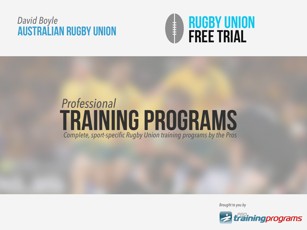## Australian rugby union *David Boyle*<br> **AIISTRAI IAN RIIGRY IINIAN**



# *Professional* TRAINING PROGRAMS *Complete, sport-specific Rugby Union training programs by the Pros*

*Brought to you by*

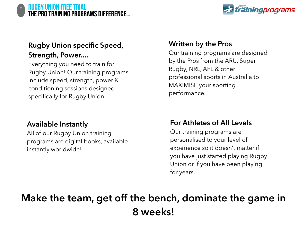#### RUGBY UNION FREE TRIAL the pro training programs difference…



#### **Rugby Union specific Speed, Strength, Power....**

Everything you need to train for Rugby Union! Our training programs include speed, strength, power & conditioning sessions designed specifically for Rugby Union.

#### **Available Instantly**

All of our Rugby Union training programs are digital books, available instantly worldwide!

#### **Written by the Pros**

Our training programs are designed by the Pros from the ARU, Super Rugby, NRL, AFL & other professional sports in Australia to MAXIMISE your sporting performance.

#### **For Athletes of All Levels**

Our training programs are personalised to your level of experience so it doesn't matter if you have just started playing Rugby Union or if you have been playing for years.

# **Make the team, get off the bench, dominate the game in 8 weeks!**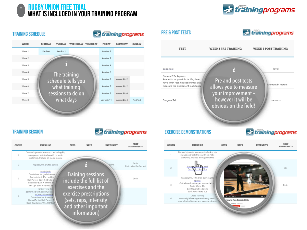

#### **TRAINING SCHEDULE**

*trainingprograms* 

| WEEK   | MONDAY   | <b>WEDNESDAY</b><br><b>TUESDAY</b> | <b>THURSDAY</b> | FRIDAY     | <b>SATURDAY</b> | <b>SUNDAY</b> |
|--------|----------|------------------------------------|-----------------|------------|-----------------|---------------|
| Week 1 | Pre Test | Aerobic 1                          |                 | Aerobic 2  |                 |               |
| Week 2 |          |                                    |                 | Aerobic 2  |                 |               |
| Week 3 |          |                                    |                 | Aerobic 4  |                 |               |
| Week 4 |          | The training                       |                 | Aerobic 6  |                 |               |
| Week 5 |          | schedule tells you                 |                 | Aerobic 8  | Anaerobic 2     |               |
| Week 6 |          | what training                      |                 | Aerobic 8  | Anaerobic 2     |               |
| Week 7 |          | sessions to do on                  |                 | Aerobic 8  | Anaerobic 4     |               |
| Week 8 |          | what days                          |                 | Aerobic 11 | Anaerobic 4     | Post Test     |
|        |          |                                    |                 |            |                 |               |



#### **TRAINING SESSION**





#### **EXERCISE DEMONSTRATIONS**

*Erainingprograms* 



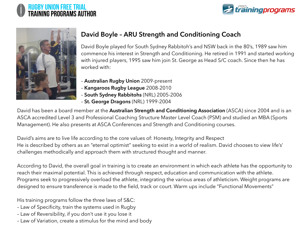





#### **David Boyle – ARU Strength and Conditioning Coach**

David Boyle played for South Sydney Rabbitoh's and NSW back in the 80's, 1989 saw him commence his interest in Strength and Conditioning. He retired in 1991 and started working with injured players, 1995 saw him join St. George as Head S/C coach. Since then he has worked with:

- **Australian Rugby Union** 2009-present
- **Kangaroos Rugby League** 2008-2010
- **South Sydney Rabbitohs** (NRL) 2005-2006
- **St. George Dragons** (NRL) 1999-2004

David has been a board member at the **Australian Strength and Conditioning Association** (ASCA) since 2004 and is an ASCA accredited Level 3 and Professional Coaching Structure Master Level Coach (PSM) and studied an MBA (Sports Management). He also presents at ASCA Conferences and Strength and Conditioning courses.

David's aims are to live life according to the core values of: Honesty, Integrity and Respect He is described by others as an "eternal optimist" seeking to exist in a world of realism. David chooses to view life's' challenges methodically and approach them with structured thought and manner.

According to David, the overall goal in training is to create an environment in which each athlete has the opportunity to reach their maximal potential. This is achieved through respect, education and communication with the athlete. Programs seek to progressively overload the athlete, integrating the various areas of athleticism. Weight programs are designed to ensure transference is made to the field, track or court. Warm ups include "Functional Movements"

His training programs follow the three laws of S&C:

- Law of Specificity, train the systems used in Rugby
- Law of Reversibility, if you don't use it you lose it
- Law of Variation, create a stimulus for the mind and body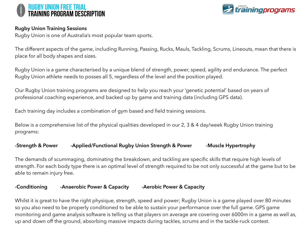



#### **Rugby Union Training Sessions**

Rugby Union is one of Australia's most popular team sports.

The different aspects of the game, including Running, Passing, Rucks, Mauls, Tackling, Scrums, Lineouts, mean that there is place for all body shapes and sizes.

Rugby Union is a game characterised by a unique blend of strength, power, speed, agility and endurance. The perfect Rugby Union athlete needs to posses all 5, regardless of the level and the position played.

Our Rugby Union training programs are designed to help you reach your 'genetic potential' based on years of professional coaching experience, and backed up by game and training data (including GPS data).

Each training day includes a combination of gym based and field training sessions.

Below is a comprehensive list of the physical qualities developed in our 2, 3 & 4 day/week Rugby Union training programs:

#### -Strength & Power - Applied/Functional Rugby Union Strength & Power - Muscle Hypertrophy

The demands of scummaging, dominating the breakdown, and tackling are specific skills that require high levels of strength. For each body type there is an optimal level of strength required to be not only successful at the game but to be able to remain injury free.

#### **-Conditioning -Anaerobic Power & Capacity -Aerobic Power & Capacity**

Whilst it is great to have the right physique, strength, speed and power; Rugby Union is a game played over 80 minutes so you also need to be properly conditioned to be able to sustain your performance over the full game. GPS game monitoring and game analysis software is telling us that players on average are covering over 6000m in a game as well as, up and down off the ground, absorbing massive impacts during tackles, scrums and in the tackle-ruck contest.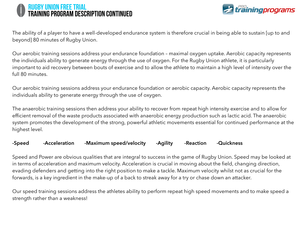#### RUGBY UNION FREE TRIAL training program description CONTINUED



The ability of a player to have a well-developed endurance system is therefore crucial in being able to sustain [up to and beyond] 80 minutes of Rugby Union.

Our aerobic training sessions address your endurance foundation – maximal oxygen uptake. Aerobic capacity represents the individuals ability to generate energy through the use of oxygen. For the Rugby Union athlete, it is particularly important to aid recovery between bouts of exercise and to allow the athlete to maintain a high level of intensity over the full 80 minutes.

Our aerobic training sessions address your endurance foundation or aerobic capacity. Aerobic capacity represents the individuals ability to generate energy through the use of oxygen.

The anaerobic training sessions then address your ability to recover from repeat high intensity exercise and to allow for efficient removal of the waste products associated with anaerobic energy production such as lactic acid. The anaerobic system promotes the development of the strong, powerful athletic movements essential for continued performance at the highest level.

-Speed -Acceleration -Maximum speed/velocity -Agility -Reaction -Quickness

Speed and Power are obvious qualities that are integral to success in the game of Rugby Union. Speed may be looked at in terms of acceleration and maximum velocity. Acceleration is crucial in moving about the field, changing direction, evading defenders and getting into the right position to make a tackle. Maximum velocity whilst not as crucial for the forwards, is a key ingredient in the make-up of a back to streak away for a try or chase down an attacker.

Our speed training sessions address the athletes ability to perform repeat high speed movements and to make speed a strength rather than a weakness!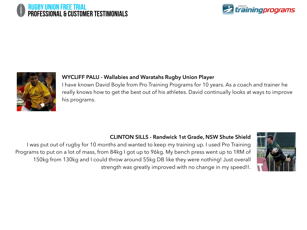





#### **WYCLIFF PALU - Wallabies and Waratahs Rugby Union Player**

I have known David Boyle from Pro Training Programs for 10 years. As a coach and trainer he really knows how to get the best out of his athletes. David continually looks at ways to improve his programs.

#### **CLINTON SILLS - Randwick 1st Grade, NSW Shute Shield**

I was put out of rugby for 10 months and wanted to keep my training up. I used Pro Training Programs to put on a lot of mass, from 84kg I got up to 96kg. My bench press went up to 1RM of 150kg from 130kg and I could throw around 55kg DB like they were nothing! Just overall strength was greatly improved with no change in my speed!!.

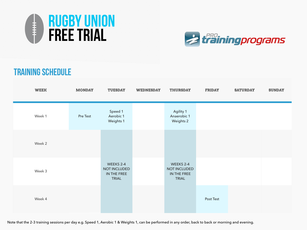



### TRAINING SCHEDULE

| <b>WEEK</b> | <b>MONDAY</b> | <b>TUESDAY</b>                                           | <b>WEDNESDAY</b> | <b>THURSDAY</b>                                          | <b>FRIDAY</b> | <b>SATURDAY</b> | <b>SUNDAY</b> |
|-------------|---------------|----------------------------------------------------------|------------------|----------------------------------------------------------|---------------|-----------------|---------------|
| Week 1      | Pre Test      | Speed 1<br>Aerobic 1<br><b>Weights 1</b>                 |                  | Agility 1<br>Anaerobic 1<br><b>Weights 2</b>             |               |                 |               |
| Week 2      |               |                                                          |                  |                                                          |               |                 |               |
| Week 3      |               | WEEKS 2-4<br>NOT INCLUDED<br>IN THE FREE<br><b>TRIAL</b> |                  | WEEKS 2-4<br>NOT INCLUDED<br>IN THE FREE<br><b>TRIAL</b> |               |                 |               |
| Week 4      |               |                                                          |                  |                                                          | Post Test     |                 |               |

Note that the 2-3 training sessions per day e.g. Speed 1, Aerobic 1 & Weights 1, can be performed in any order, back to back or morning and evening.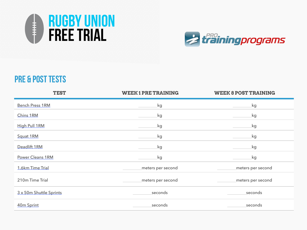



## pre & post tests

| <b>TEST</b>             | <b>WEEK1PRETRAINING</b> | <b>WEEK 8 POST TRAINING</b> |
|-------------------------|-------------------------|-----------------------------|
| <b>Bench Press 1RM</b>  | kg                      | kg                          |
| Chins 1RM               | kg                      | kg                          |
| <b>High Pull 1RM</b>    | kg                      | kg                          |
| Squat 1RM               | kg                      | kg                          |
| Deadlift 1RM            | kg                      | kg                          |
| <b>Power Cleans 1RM</b> | kg                      | kg                          |
| 1.6km Time Trial        | meters per second       | meters per second           |
| 210m Time Trial         | meters per second       | meters per second           |
| 3 x 50m Shuttle Sprints | seconds                 | seconds                     |
| 40m Sprint              | seconds                 | seconds                     |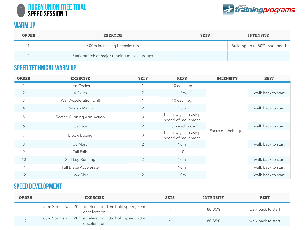



#### **WARM UP**

| <b>ORDER</b> | <b>EXERCISE</b>                               | <b>SETS</b> | <b>INTENSITY</b>             |
|--------------|-----------------------------------------------|-------------|------------------------------|
|              | 400m increasing intensity run                 |             | Building up to 80% max speed |
|              | Static stretch of major running muscle groups |             |                              |

#### Speed Technical Warm Up

| <b>ORDER</b>   | <b>EXERCISE</b>                  | <b>SETS</b>    | <b>REPS</b>                                | <b>INTENSITY</b>   | <b>REST</b>        |
|----------------|----------------------------------|----------------|--------------------------------------------|--------------------|--------------------|
|                | Leg Cycles                       |                | 10 each leg                                |                    |                    |
| $\overline{2}$ | A Skips                          | 2              | 15m                                        |                    | walk back to start |
| 3              | <b>Wall Acceleration Drill</b>   | $\mathbf 1$    | 10 each leg                                |                    |                    |
| $\overline{4}$ | Russian March                    | 2              | 15m                                        |                    | walk back to start |
| 5              | <b>Seated Running Arm Action</b> | 3              | 15s slowly increasing<br>speed of movement |                    |                    |
| 6              | Carioca                          | 2              | 15m each side                              |                    | walk back to start |
| 7              | <b>Elbow Boxing</b>              | 3              | 15s slowly increasing<br>speed of movement | Focus on technique |                    |
| 8              | Toe March                        | 2              | 10 <sub>m</sub>                            |                    | walk back to start |
| 9              | Tall Falls                       |                | 10                                         |                    |                    |
| 10             | <b>Stiff Leg Running</b>         | $\overline{2}$ | 10 <sub>m</sub>                            |                    | walk back to start |
| 11             | <b>Fall Brace Accelerate</b>     | $\overline{4}$ | 10 <sub>m</sub>                            |                    | walk back to start |
| 12             | Low Skip                         | $\overline{2}$ | 10 <sub>m</sub>                            |                    | walk back to start |

#### Speed Development

| <b>ORDER</b> | <b>EXERCISE</b>                                                        | <b>SETS</b> | <b>INTENSITY</b> | <b>REST</b>        |
|--------------|------------------------------------------------------------------------|-------------|------------------|--------------------|
|              | 50m Sprints with 20m acceleration, 10m hold speed, 20m<br>deceleration |             | 80-85%           | walk back to start |
|              | 60m Sprints with 20m acceleration, 20m hold speed, 20m<br>deceleration |             | 80-85%           | walk back to start |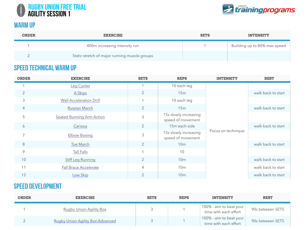



#### **WARM UP**

| <b>ORDER</b> | <b>EXERCISE</b>                               | <b>SETS</b> | <b>INTENSITY</b>             |
|--------------|-----------------------------------------------|-------------|------------------------------|
|              | 400m increasing intensity run                 |             | Building up to 80% max speed |
|              | Static stretch of major running muscle groups |             |                              |

#### Speed Technical Warm Up

| <b>ORDER</b>   | <b>EXERCISE</b>                  | <b>SETS</b>    | <b>REPS</b>                                | <b>INTENSITY</b>   | <b>REST</b>        |
|----------------|----------------------------------|----------------|--------------------------------------------|--------------------|--------------------|
|                | Leg Cycles                       |                | 10 each leg                                |                    |                    |
| $\overline{2}$ | A Skips                          | 2              | 15m                                        |                    | walk back to start |
| 3              | <b>Wall Acceleration Drill</b>   |                | 10 each leg                                |                    |                    |
| $\overline{4}$ | Russian March                    | 2              | 15m                                        |                    | walk back to start |
| 5              | <b>Seated Running Arm Action</b> | 3              | 15s slowly increasing<br>speed of movement |                    |                    |
| 6              | Carioca                          | 2              | 15m each side                              |                    | walk back to start |
| 7              | <b>Elbow Boxing</b>              | $\mathfrak{Z}$ | 15s slowly increasing<br>speed of movement | Focus on technique |                    |
| 8              | Toe March                        | 2              | 10 <sub>m</sub>                            |                    | walk back to start |
| $\circ$        | Tall Falls                       |                | 10                                         |                    |                    |
| 10             | <b>Stiff Leg Running</b>         | $\overline{2}$ | 10 <sub>m</sub>                            |                    | walk back to start |
| 11             | Fall Brace Accelerate            | $\overline{4}$ | 10 <sub>m</sub>                            |                    | walk back to start |
| 12             | Low Skip                         | 2              | 10 <sub>m</sub>                            |                    | walk back to start |

#### Speed Development

| <b>ORDER</b> | <b>EXERCISE</b>                         | <b>SETS</b> | <b>REPS</b> | <b>INTENSITY</b>                                     | <b>REST</b>      |
|--------------|-----------------------------------------|-------------|-------------|------------------------------------------------------|------------------|
|              | <b>Rugby Union Agility Box</b>          |             |             | 100% - aim to beat your $ $<br>time with each effort | 90s between SETS |
|              | <b>Rugby Union Agility Box Advanced</b> |             |             | 100% - aim to beat your<br>time with each effort     | 90s between SETS |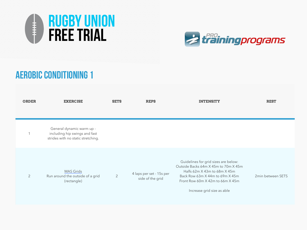



## aerobic CONDITIONING 1

| <b>ORDER</b>   | <b>EXERCISE</b>                                                                                  | <b>SETS</b>    | <b>REPS</b>                                  | <b>INTENSITY</b>                                                                                                                                                                                                  | <b>REST</b>       |
|----------------|--------------------------------------------------------------------------------------------------|----------------|----------------------------------------------|-------------------------------------------------------------------------------------------------------------------------------------------------------------------------------------------------------------------|-------------------|
| $\overline{ }$ | General dynamic warm up -<br>including hip swings and fast<br>strides with no static stretching. |                |                                              |                                                                                                                                                                                                                   |                   |
| $\overline{2}$ | <b>MAS Grids</b><br>Run around the outside of a grid<br>(rectangle)                              | $\overline{2}$ | 4 laps per set - 15s per<br>side of the grid | Guidelines for grid sizes are below:<br>Outside Backs 64m X 45m to 70m X 45m<br>Halfs 62m X 43m to 68m X 45m<br>Back Row 63m X 44m to 69m X 45m<br>Front Row 60m X 42m to 66m X 45m<br>Increase grid size as able | 2min between SETS |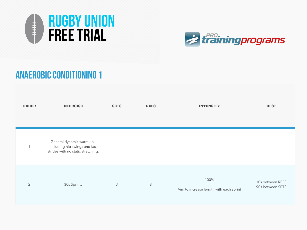



## anaerobic CONDITIONING 1

| <b>ORDER</b>   | <b>EXERCISE</b>                                                                                  | <b>SETS</b> | <b>REPS</b> | <b>INTENSITY</b>                                | <b>REST</b>                          |
|----------------|--------------------------------------------------------------------------------------------------|-------------|-------------|-------------------------------------------------|--------------------------------------|
|                |                                                                                                  |             |             |                                                 |                                      |
| $\mathbf 1$    | General dynamic warm up -<br>including hip swings and fast<br>strides with no static stretching. |             |             |                                                 |                                      |
| $\overline{2}$ | 30s Sprints                                                                                      | 3           | $8\,$       | 100%<br>Aim to increase length with each sprint | 10s between REPS<br>90s between SETS |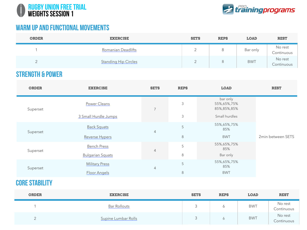



#### warm up and functional movements

| <b>ORDER</b> | <b>EXERCISE</b>             | <b>SETS</b> | <b>REPS</b> | <b>LOAD</b> | <b>REST</b>           |
|--------------|-----------------------------|-------------|-------------|-------------|-----------------------|
|              | Romanian Deadlifts          |             |             | Bar only    | No rest<br>Continuous |
|              | <b>Standing Hip Circles</b> |             |             | <b>BWT</b>  | No rest<br>Continuous |

#### strength & power

| <b>ORDER</b> | <b>EXERCISE</b>         | <b>SETS</b>    | <b>REPS</b>    | <b>LOAD</b>                            | <b>REST</b>       |
|--------------|-------------------------|----------------|----------------|----------------------------------------|-------------------|
| Superset     | Power Cleans            | $\overline{7}$ | 3              | bar only<br>55%,65%,75%<br>85%,85%,85% |                   |
|              | 3 Small Hurdle Jumps    |                | $\mathfrak{Z}$ | Small hurdles                          |                   |
| Superset     | <b>Back Squats</b>      | $\overline{4}$ | 5              | 55%,65%,75%<br>85%                     |                   |
|              | Reverse Hypers          |                | $\,8\,$        | <b>BWT</b>                             | 2min between SETS |
| Superset     | <b>Bench Press</b>      | $\overline{4}$ | 5              | 55%,65%,75%<br>85%                     |                   |
|              | <b>Bulgarian Squats</b> |                | 8              | Bar only                               |                   |
| Superset     | <b>Military Press</b>   | $\overline{4}$ | 5              | 55%,65%,75%<br>85%                     |                   |
|              | Floor Angels            |                | $8\,$          | <b>BWT</b>                             |                   |

#### **CORE STABILITY**

| <b>ORDER</b>     | <b>EXERCISE</b>     | <b>SETS</b> | <b>REPS</b> | <b>LOAD</b> | <b>REST</b>           |
|------------------|---------------------|-------------|-------------|-------------|-----------------------|
|                  | Bar Rollouts        | ◡           | ◡           | <b>BWT</b>  | No rest<br>Continuous |
| $\leftharpoonup$ | Supine Lumbar Rolls |             |             | <b>BWT</b>  | No rest<br>Continuous |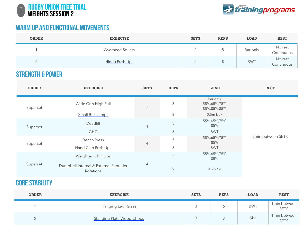



#### warm up and functional movements

| <b>ORDER</b> | <b>EXERCISE</b> | <b>SETS</b> | <b>REPS</b> | <b>LOAD</b> | <b>REST</b>           |
|--------------|-----------------|-------------|-------------|-------------|-----------------------|
|              | Overhead Squats | <u>_</u>    |             | Bar only    | No rest<br>Continuous |
|              | Hindu Push Ups  | _           |             | <b>BWT</b>  | No rest<br>Continuous |

#### strength & power

| <b>ORDER</b> | <b>EXERCISE</b>                                      | <b>SETS</b>    | <b>REPS</b> | <b>LOAD</b>                                            | <b>REST</b>       |
|--------------|------------------------------------------------------|----------------|-------------|--------------------------------------------------------|-------------------|
| Superset     | <b>Wide Grip High Pull</b><br><b>Small Box Jumps</b> | $\overline{7}$ | 3<br>3      | bar only<br>55%,65%,75%<br>85%, 85%, 85%<br>$0.5m$ box |                   |
| Superset     | Deadlift<br><b>GHG</b>                               | $\overline{4}$ | 5<br>8      | 55%,65%,75%<br>85%<br><b>BWT</b>                       |                   |
| Superset     | <b>Bench Press</b><br>Hand Clap Push Ups             | $\overline{4}$ | 5<br>8      | 55%,65%,75%<br>85%<br><b>BWT</b>                       | 2min between SETS |
| Superset     | Weighted Chin Ups                                    |                | 5           | 55%,65%,75%<br>85%                                     |                   |
|              | Dumbbell Internal & External Shoulder<br>Rotations   | $\overline{4}$ | 8           | $2.5-5kg$                                              |                   |

#### core stability

| <b>ORDER</b> | <b>EXERCISE</b>                  | <b>SETS</b> | <b>REPS</b> | <b>LOAD</b> | <b>REST</b>                 |
|--------------|----------------------------------|-------------|-------------|-------------|-----------------------------|
|              | <u>Hanging Leg Raises</u>        |             |             | <b>BWT</b>  | 1min between<br><b>SETS</b> |
| <u>_</u>     | <b>Standing Plate Wood Chops</b> | $\sim$      | 8           | 5kg         | 1min between<br><b>SETS</b> |